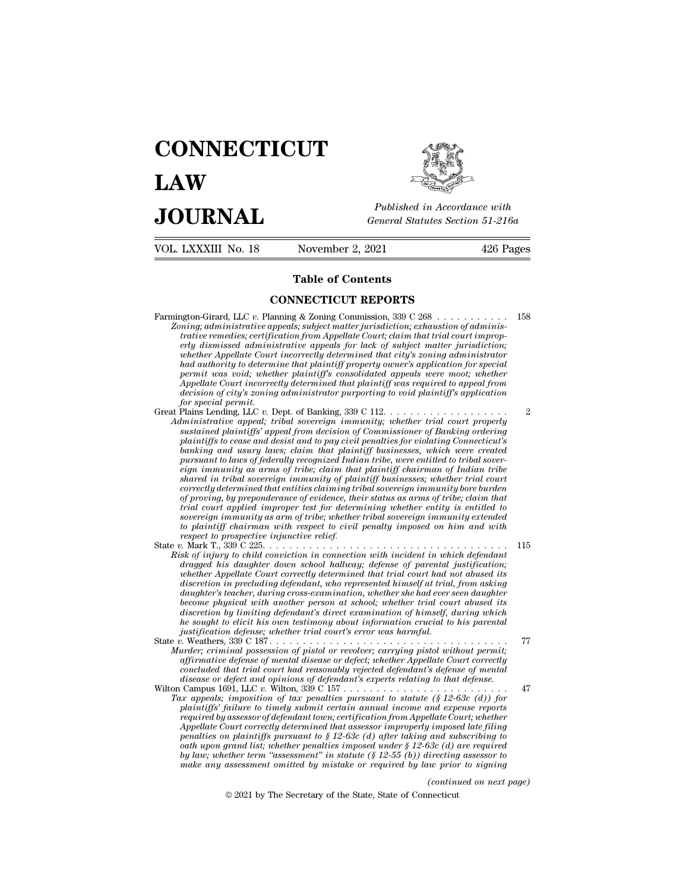# **CONNECTICUT LAW PUBLICE CONNECTICUT**<br> **Published in Accordance with**<br> **JOURNAL** *General Statutes Section 51-216a*<br> **Published in Accordance with** VOL. LXXXIII No. 18 November 2, 2021 426 Pages Published in A<br>
General Statutes<br>
November 2, 2021<br> **Table of Contents<br>
NECTICUT REPORTS**

- General Statutes Section<br>
November 2, 2021<br> **Table of Contents<br>
CONNECTICUT REPORTS**<br>
anning & Zoning Commission, 339 C 268 Farmington-Girard, LLC *<sup>v</sup>*. Planning & Zoning Commission, 339 C 268 . . . . . . . . . . . 158 *Zoning: CONNECTICUT REPORTS*<br>*Zoning; administrative appeals; subject matter jurisdiction; exhaustion of administrative remedies; certification from Appellate Court; claim that trial court improp***trative remetable of Contents**<br>**connect reference to the CONNECTICUT REPORTS**<br>*tratiging* administrative appeals; subject matter jurisdiction; exhaustion of administrative remedies; certification from Appellate Court; cla **erly discrete administrative CONNECTICUT REPORTS**<br>**erly discrete administrative appeals**; subject matter jurisdiction; exhaustion of administrative remedies; certification from Appellate Court; claim that trial court impr **CONNECTICUT REPORTS**<br> **whether Appellate Court incorrectly determined that city**<br> *whether ermedies; certification from Appellate Court; claim that trial court improperly dismissed administrative appeals for lack of subje connection CONNECTICUT REPORTS*<br> **had a** and a section of administrative appeals; subject matter jurisdiction; exhaustion of administrative remedies; certification from Appellate Court; claim that trial court improperty *permit was woid; whereas subject matter jurisdiction; saming; administrative appeals; subject matter jurisdiction; exhaustion of administrative remedies; certification from Appellate Court; claim that trial court improper Appellate Court incorrectly at the ministrative appeals; subject matter jurisdiction; exhaustion of administrative appeals increasing that trial court improperty dismissed administrative appeals for lack of subject matter ming*; administrative appeals; subject matter jurisdiction; exhaustion of administrative remedies; certification from Appellate Court; claim that trial court improperty dismissed administrative appeals for lack of subject *frative remedies; certificerly dismissed administy.<br>
whether Appellate Court<br>
had authority to determine and authority to determine<br>
Appellate Court incorrect<br>
decision of city's zoning<br>
for special permit.<br>
Plains Lendin* erty atsmissed aaministrative appeals for lack of subject matter jurisdiction;<br>whether Appellate Court incorrectly determined that city's zoning administrator<br>had authority to determine that plaintiff property owner's appl *Administrative appellate Court incorrectly determined that city's zoning administrator*<br> *Administrative appealing property owner's application for special<br>
permit was void; whether plantiff's consolidated appeals were mo*
- *had authority to determine that plaintiff property owner's application for special<br>permit was void; whether plaintiff's consolidated appeals were moot; whether<br>Appellate Court incorrectly determined that plaintiff was req permut was vood; whether plaintiff's consolidated appeals were moot; whether Appellate Court incorrectly determined that plaintiff was required to appeal from decision of city's zoning administrator purporting to void pla Appellate Court incorrectly aetermined that plaintiff was required to appeal from*<br>decision of city's zoning administrator purporting to void plaintiff's application<br>for special permit.<br>Plains Lending, LLC v. Dept. of Ban *pursuant to laws of federally recognized Indian tribe, were entitled to tribal soverfor special permit.*<br>
Plains Lending, LLC v. Dept. of Banking, 339 C 112.<br> *eigninistrative appeal; tribal sovereign immunity; whether trial court properly<br>
sustained plaintiffs' appeal from decision of Commissioner of Ba shared in tribal sovereign immunity of plaintiff businesses; whether trial court correctly determined that sovereign immunity; whether trial court property*<br>paiatined plaintiffs' appeal from decision of Commissioner of Banking ordering<br>plaintiffs to cease and desist and to pay civil penalties for viol *sustained plaintiffs appeal from decision of Commissioner of Banking ordering*<br>plaintiffs to cease and desist and to pay civil penalties for violating Connecticut's<br>banking and usury laws; claim that plaintiff businesses, plantiffs to cease and desist and to pay civil penalties for violating Connecticut's<br>banking and usury laws; claim that plaintiff businesses, which were created<br>pursuant to laws of federally recognized Indian tribe, were e *banking and usury laws; claim that plaintiff businesses, which were created* pursuant to laws of federally recognized Indian tribe, were entitled to tribal sover-<br>eign immunity as arms of tribe; claim that plaintiff chair pursuant to laws of federally recognized Indian tribe, were entitled to tribal sover-<br>eign immunity as arms of tribe; claim that plaintiff chairman of Indian tribe<br>shared in tribal sovereign immunity of plaintiff businesse *respective in that plaintiff chairman of Indian tribe*<br>*shared in tribal sovereign immunity of plaintiff businesses; whether trial court*<br>*correctly determined that entities claiming tribal sovereign immunity bore burden* shared in tribal sovereign immunity of plaintiff businesses; whether trial court<br>correctly determined that entities claiming tribal sovereign immunity bore burden<br>of proving, by preponderance of evidence, their status as a *Correctly determined that entities claiming tribal sovereign immunity bore burden*<br> *Risk of injury the point applied improper* test for determining whether entity is entitled to<br> *sovereign immunity as arm of tribe; whet dragged his daughter down school hallway; defense of parental court applied improper test for determining whether entity is entitled to sovereign immunity as arm of tribe; whether tribal sovereign immunity extended to pla*
- *whether appellate may the two determining whether entity is entitled to*<br> *whether correction immunity as arm of tribe; whether tribal sovereign immunity extended<br>
to plaintiff chairman with respect to civil penalty impos discretion immunity as arm of tribe; whether tribal sovereign immunity extended*<br>to plaintiff chairman with respect to civil penalty imposed on him and with<br>respect to prospective injunctive relief.<br> $\mu$  Mark T., 339 C 22 *daughter's teacher, during cross-examination, whether she had ever seen daughter become physical with another person at school; whether trial court abused its difference in the interimal contribution in connection with incident in which defendant in the defendant dragged his daughter down school hallway; defense of parental justification; whether Appellate Court correctly dete sk of injury to child conviction in connection with incident in which defendant dragged his daughter down school hallway; defense of parental justification; whether Appellate Court correctly determined that trial court ha dragged has daughter down school hallway; defense of parental whether Appellate Court correctly determined that trial court had neadscretion in precluding defendant, who represented himself at trial daughter's teacher, du* whether Appellate Court correctly determined that trial court had not abused its<br>discretion in precluding defendant, who represented himself at trial, from asking<br>daughter's teacher, during cross-examination, whether she h *Murder; criminal possession of pistol or revolver; carrying criminal possession of a secone physical with another preson at school; whether trial court abused its discretion by limiting defendant's direct examination of h* daughter's teacher, auring cross-examination, whether she had ever seen daughter<br>become physical with another person at school; whether trial court abused its<br>discretion by limiting defendant's direct examination or heimse
- *conce physical with another person at school; whether trial court abused its*<br>discretion by limiting defendant's direct examination of himself, during which<br>he sought to elicit his own testimony about information crucial *discretion by limiting defendant's direct examination of himself, during which*<br>*he sought to elicit his own testimony about information crucial to his parental<br>pistification defense; whether trial court's error was harmf* Wilton Campus 1691, LLC *v.* Wilton, 339 C 157 . . . . . . . . . . . . . . . . . . . . . . . . . 47 *Tax appeals; imposition of tax penalties pursuant to statute is puredic in the pursuant to statute; criminal possession of pistol or revolver; carrying pistol without permit;<br>
affirmative defense of mental disease or defe plaintiffs*  $\hat{p}$  *plaintiffs'* failure to the time to the time that the concluded that trial constrained a fearly concluded that trial court had reasonably rejected defendant's defense of mental disease or defect and
	- *reminal possession of pistol or revolver; carrying pistol without permit;*<br>affirmative defense of mental disease or defect; whether Appellate Court correctly<br>concluded that trial court had reasonably rejected defendant's *Appellate determined determined that realisty rejected defendant's defense of mental disease or defect and opinions of defendant's defense of mental disease or defect and opinions of defendant's experts relating to that d penduded that trad court had reasonably rejected defendant's defense of mental*<br>disease or defect and opinions of defendant's experts relating to that defense.<br> $P(x)$  any substribute  $\alpha$  withon, 339 C 157  $\dots$   $\dots$   $\dots$  *oath upon grand list; whether penalties imposed under § 12-63c (d) are required by law; whether term ''assessment'' in statute (§ 12-55 (b)) directing assessor to make any peals; imposition of tax penalties pursuant to statute (§ 12-63c (d)) for*<br>plaintiffs' failure to timely submit certain annual income and expense reports<br>required by assessor of defendant town; certification from *(<i>court; whether*<br>*(imposed late filing and subscribing to<br>332c (d) are required irrecting assessor to*<br>*(intracting assessor to*<br>*(continued on next page)* necticut Appellate Court correctly determined that assessor improperly imposed late filing<br>penalties on plaintiffs pursuant to  $\S 12-63c$  (d) after taking and subscribing to<br>oath upon grand list; whether penalties imposed under  $\S$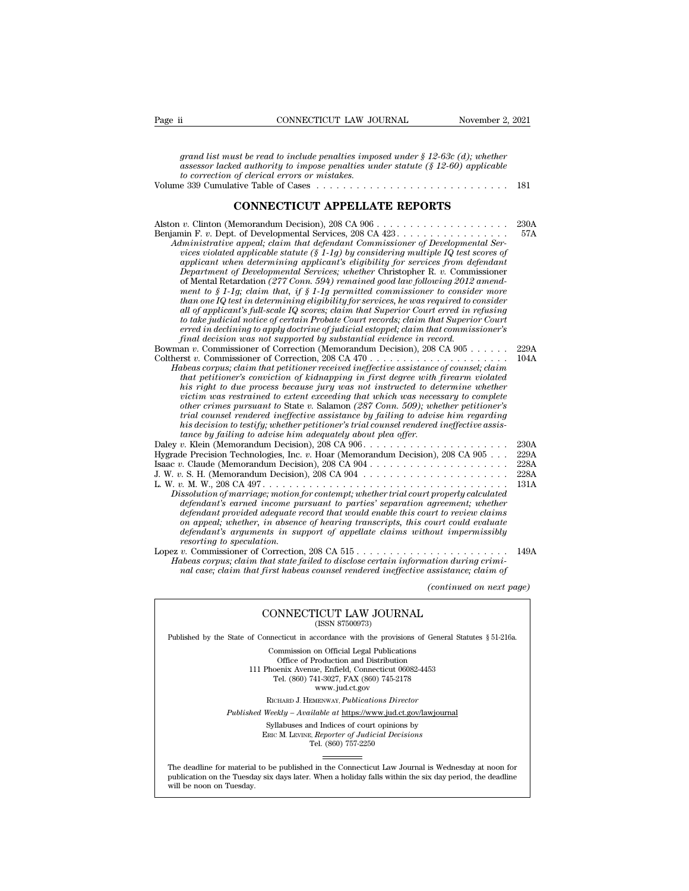| CONNECTICUT LAW JOURNAL<br>Page ii                                                                                                                                                                                                                                                                                                                                                                                                                                                                                                                                                                                                                                                                                                                                                                                                                                                                                                                                                                                                 | November 2, 2021                     |
|------------------------------------------------------------------------------------------------------------------------------------------------------------------------------------------------------------------------------------------------------------------------------------------------------------------------------------------------------------------------------------------------------------------------------------------------------------------------------------------------------------------------------------------------------------------------------------------------------------------------------------------------------------------------------------------------------------------------------------------------------------------------------------------------------------------------------------------------------------------------------------------------------------------------------------------------------------------------------------------------------------------------------------|--------------------------------------|
| grand list must be read to include penalties imposed under $\S 12{\text -}63c$ (d); whether<br>$\alpha$ assessor lacked authority to impose penalties under statute (§ 12-60) applicable<br>to correction of clerical errors or mistakes.                                                                                                                                                                                                                                                                                                                                                                                                                                                                                                                                                                                                                                                                                                                                                                                          | 181                                  |
| <b>CONNECTICUT APPELLATE REPORTS</b>                                                                                                                                                                                                                                                                                                                                                                                                                                                                                                                                                                                                                                                                                                                                                                                                                                                                                                                                                                                               |                                      |
| Benjamin F. v. Dept. of Developmental Services, 208 CA 423.<br>Administrative appeal; claim that defendant Commissioner of Developmental Ser-<br>vices violated applicable statute (§ 1-1g) by considering multiple IQ test scores of<br>applicant when determining applicant's eligibility for services from defendant<br>Department of Developmental Services; whether Christopher R. v. Commissioner<br>of Mental Retardation (277 Conn. 594) remained good law following 2012 amend-<br>ment to $§$ 1-1g; claim that, if $§$ 1-1g permitted commissioner to consider more<br>$than\ one\ IQ\ test\ in\ determining\ eligibility\ for\ services, he\ was\ required\ to\ consider$<br>all of applicant's full-scale IQ scores; claim that Superior Court erred in refusing<br>to take judicial notice of certain Probate Court records; claim that Superior Court<br>erred in declining to apply doctrine of judicial estoppel; claim that commissioner's<br>final decision was not supported by substantial evidence in record. | 230A<br>57A                          |
| Bowman v. Commissioner of Correction (Memorandum Decision), 208 CA 905<br>Habeas corpus; claim that petitioner received ineffective assistance of counsel; claim<br>that petitioner's conviction of kidnapping in first degree with firearm violated<br>his right to due process because jury was not instructed to determine whether<br>victim was restrained to extent exceeding that which was necessary to complete<br>other crimes pursuant to State v. Salamon (287 Conn. 509); whether petitioner's<br>trial counsel rendered ineffective assistance by failing to advise him regarding<br>his decision to testify; whether petitioner's trial counsel rendered ineffective assis-<br>tance by failing to advise him adequately about plea offer.                                                                                                                                                                                                                                                                           | 229A<br>104A                         |
| Hygrade Precision Technologies, Inc. v. Hoar (Memorandum Decision), 208 CA 905<br>Dissolution of marriage; motion for contempt; whether trial court properly calculated<br>defendant's earned income pursuant to parties' separation agreement; whether<br>defendant provided adequate record that would enable this court to review claims<br>on appeal; whether, in absence of hearing transcripts, this court could evaluate<br>defendant's arguments in support of appellate claims without impermissibly<br>resorting to speculation.                                                                                                                                                                                                                                                                                                                                                                                                                                                                                         | 230A<br>229A<br>228A<br>228A<br>131A |
| Habeas corpus; claim that state failed to disclose certain information during crimi-<br>nal case; claim that first habeas counsel rendered ineffective assistance; claim of                                                                                                                                                                                                                                                                                                                                                                                                                                                                                                                                                                                                                                                                                                                                                                                                                                                        | 149A                                 |
|                                                                                                                                                                                                                                                                                                                                                                                                                                                                                                                                                                                                                                                                                                                                                                                                                                                                                                                                                                                                                                    | (continued on next page)             |
| CONNECTICUT LAW JOURNAL<br>(ISSN 87500973)                                                                                                                                                                                                                                                                                                                                                                                                                                                                                                                                                                                                                                                                                                                                                                                                                                                                                                                                                                                         |                                      |
| Published by the State of Connecticut in accordance with the provisions of General Statutes § 51-216a.                                                                                                                                                                                                                                                                                                                                                                                                                                                                                                                                                                                                                                                                                                                                                                                                                                                                                                                             |                                      |
| Commission on Official Legal Publications<br>Office of Production and Distribution<br>111 Phoenix Avenue, Enfield, Connecticut 06082-4453<br>Tel. (860) 741-3027, FAX (860) 745-2178<br>www.jud.ct.gov                                                                                                                                                                                                                                                                                                                                                                                                                                                                                                                                                                                                                                                                                                                                                                                                                             |                                      |
| RICHARD J. HEMENWAY, Publications Director                                                                                                                                                                                                                                                                                                                                                                                                                                                                                                                                                                                                                                                                                                                                                                                                                                                                                                                                                                                         |                                      |
| <i>Published Weekly – Available at https://www.jud.ct.gov/lawjournal</i><br>Syllabuses and Indices of court opinions by<br>ERIC M. LEVINE, Reporter of Judicial Decisions<br>Tel. (860) 757-2250                                                                                                                                                                                                                                                                                                                                                                                                                                                                                                                                                                                                                                                                                                                                                                                                                                   |                                      |

Tel. (860) 757-2250

Published Weekly – Available at https://www.jud.ct.gov/lawjournal<br>Syllabuses and Indices of court opinions by<br>ERIC M. LEVINE, Reporter of Judicial Decisions<br>The deadline for material to be published in the Connecticut Law  $\begin{tabular}{l} \bf Syllabuses\ and\ Indices\ of\ court\ opinions\ by\\ \bf Enc\ M.\ LevINE,\ \textit{Reporter of\ Judicial\ Decisions}\\ \bf Tel.\ (860)\ 757-2250\\ \end{tabular}$  <br> The deadline for material to be published in the Connecticut Law Journal is Wednesday at noon for publication on the Tuesday six days later The deadline for material<br>publication on the Tuesday.<br>will be noon on Tuesday.